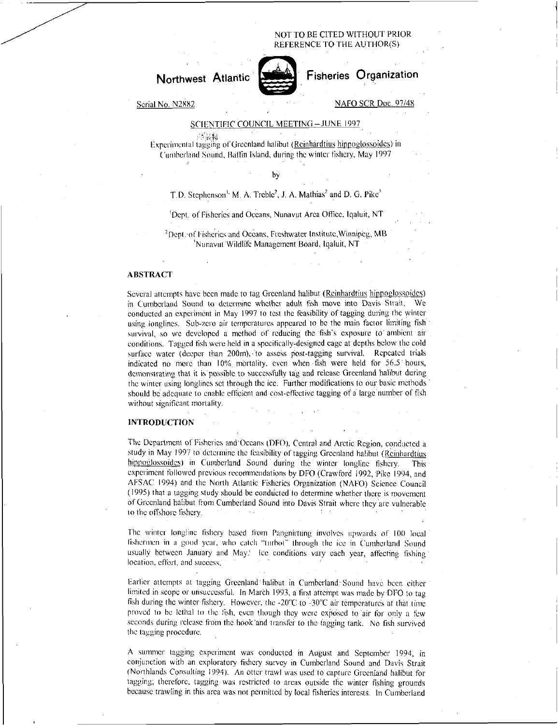NOT TO BE CITED WITHOUT PRIOR REFERENCE TO THE AUTHOR(S)

# **Northwest** Atlantic



Fisheries Organization

Serial No. N2882

# NAFO SCR Doc. 97/48

## SCIENTIFIC COUNCIL MEETING —JUNE 1997

Experimental tagging of Greenland halibut (<u>Reinhardtius hippoglossoides</u>) in Cumberland Sound, Baffin Island, during the winter fishery, May 1997

by

## T.D. Stephenson<sup>1,</sup> M. A. Treble<sup>2</sup>, J. A. Mathias<sup>2</sup> and D. G. Pike<sup>3</sup>

'Dept. of Fisheries and Oceans, Nunavut Area Office, lqaluit, NT

<sup>2</sup>Dept. of Fisheries and Oceans, Freshwater Institute, Winnipeg, MB Nunavuf Wildlife Management Board, lqaluit, NT

### ABSTRACT

Several attempts have been made to tag Greenland halibut (Reinhardtius hippoglossoides) in Cumberland Sound to determine whether adult fish move into Davis Strait. We conducted an experiment in May 1997 to test the feasibility of tagging during the winter using longlines. Sub-zero air temperatures appeared to be the main factor limiting fish survival, so we developed a method of reducing the fish's exposure to ambient air conditions. Tagged fish were held in a specifically-designed cage at depths below the cold surface water (deeper than 200m),• to assess post-tagging survival. Repeated trials indicated no more than 10% mortality, even when fish were held for 56.5 hours, demonstrating that it is possible to successfully tag and release Greenland halibut during the winter using longlines set through the ice. Further modifications to our basic methods should be adequate to enable efficient and cost-effective tagging of a large number of fish without significant mortality.

#### **INTRODUCTION**

The Department of Fisheries and Oceans (DFO), Central and Arctic Region, conducted a study in May 1997 to determine the feasibility of tagging Greenland halibut (Reinhardtius hippoglossoides) in Cumberland Sound during the winter longline fishery. This experiment followed previous recommendations by DFO (Crawford 1992, Pike 1994, and AFSAC 1994) and the North Atlantic Fisheries Organization (NAFO) Science Council (1995) that a tagging study should be condacted to determine whether there is movement of Greenland halibut from Cumberland Sound into Davis Strait where they are vulnerable to the offshore fishery

The winter longline fishery based from Pangnirtung involves upwards of 100 local fishermen in a good year, who catch "turbot" through the ice in Cumberland Sound usually between January and May.<sup>(1</sup> Ice conditions vary each year, affecting fishing' location, effort, and success.

Earlier attempts at tagging Greenland' halibut in Cumberland• Sound have been either limited in scope or unsuccessful. In March 1993, a first attempt was made by UFO to tag fish during the winter fishery. However, the  $-20^{\circ}$ C to  $-30^{\circ}$ C air temperatures at that time proved to be lethal to the fish, even though they were exposed to air for only a few seconds during release from the hook and transfer to the tagging tank. No fish survived the tagging procedure.

A summer tagging experiment was conducted in August and September 1994, in conjunction with an exploratory fishery survey in Cumberland' Sound and Davis Strait (Northlands Consulting 1994). An otter trawl was used to capture Greenland halibut for tagging; therefore, tagging was restricted to areas outside the winter fishing grounds because trawling in this area was not permitted by local fisheries interests. In Cumberland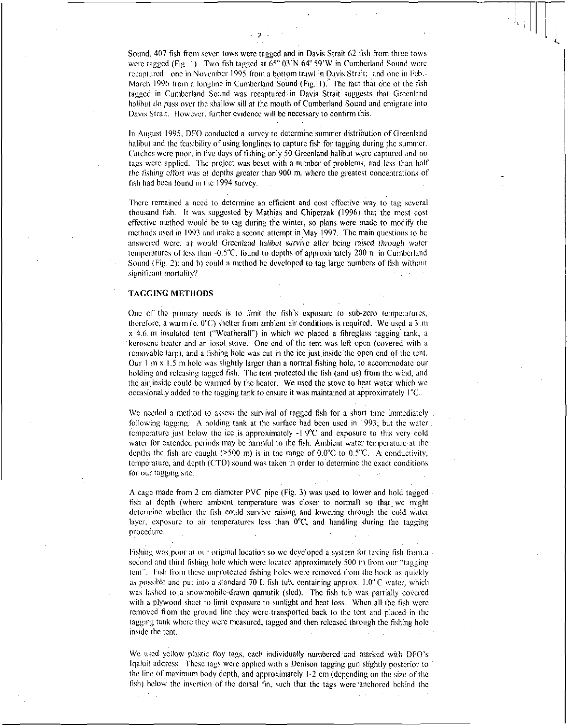Sound, 407 fish from seven tows were tagged and in Davis Strait 62 fish from three tows were tagged (Fig. 1). Two fish tagged at 65° 03'N 64" 59'W in Cumberland Sound were recaptured: one in November 1995 from a bottom trawl in Davis Strait; and one in Feb.- March 1996 from a longline in Cumberland Sound (Fig. 1). The fact that one of the fish tagged in Cumberland Sound was recaptured: in Davis Strait suggests that Greenland halibut *do* pass over the shallow sill at the mouth of Cumberland Sound and emigrate into Davis Strait. However, further evidence will be necessary to confirm this.

- 2 -

In August 1995, DFO conducted a survey to determine summer distribution of Greenland halibut and the feasibility of using longlines to capture fish for tagging during the summer. Catches were poor; in five days of fishing only 50 Greenland halibut were captured and no tags were applied. The project was beset with a number of problems, and less than half *the* fishing effort was at depths greater than 900 m, where the greatest concentrations of fish had been found in the 1994 survey.

There remained a need to determine an efficient and cost effective way to tag several thousand fish. It was suggested by Mathias and Chiperzak (1996) that the most cost effective method would be to tag during the winter, so plans were made to modify the methods used in 1993 and make a second attempt in May 1997. The main questions to be answered were: a) would *Greenland* halibut *survive after being raised through* water temperatures of less than -0.5"C, found to depths of approximately 200 m in Cumberland Sound (Fig. 2): and h) could a method he developed to tag large numbers of fish without significant mortality?

### TAGGING METHODS

One of the primary needs is to limit the fish's exposure. to sub-zero temperatures, therefore, a warm (e. 0"C) shelter from ambient air conditions is required. We used a 3.m x 4.6 m insulated tent ("Weatherall") in which we placed a fibreglass tagging tank, a kerosene heater and an iosol stove. One end of the tent was left open (covered with a removable tarp), and a fishing hole was cut in the ice just inside the open end of the tent. Our  $\frac{1}{1}$  m x 1.5 m hole was slightly larger than a normal fishing hole, to accommodate our holding and releasing tagged fish. The tent protected the fish (and us) from the wind, and the air inside could be warmed by the heater. We used the stove to heat water which we occasionally added to the tagging tank to ensure it was maintained at approximately I"C.

We needed a method to assess the survival of tagged fish for a short time immediately following tagging. A holding tank at the surface had been used in 1993, but the water temperature just below the ice is approximately -1.9°C and exposure to this very cold water for extended periods may be harmful to the fish. Ambient water temperature at the depths the fish are caught ( $>500$  m) is in the range of 0.0°C to 0.5°C. A conductivity, temperature, and depth (CTD) sound was taken in order to determine the exact conditions for our tagging site.

A cage made from 2 cm diameter PVC pipe (Fig. 3) was used to lower and hold tagged fish at depth (where ambient temperature was closer to normal) so that we might determine whether the fish could survive raising and lowering through the cold water layer, exposure to air temperatures less than 0°C, and handling during the tagging procedure.

Fishing was poor at our original location so we developed a system for taking fish from a second and third fishing hole which were located approximately 500 m from our "tagging tent". Fish from these unprotected fishing holes were removed from the hook as quickly as possible and put into a standard 70 L fish tub, containing approx. 1.0" C water, which was lashed to a snowmobile-drawn qamutik (sled). The fish tub was partially covered with a plywood sheet to limit exposure to sunlight and heat loss. When all the fish were removed from the ground line they were transported back to the tent and placed in the tagging tank where they were measured, tagged and then released through the fishing hole inside the tent.

We used yellow plastic floy tags, each individually numbered and marked with DFO's lqaluit address. These tags were applied with a Denison tagging gun slightly posterior to the line of maximum body depth, and approximately 1-2 cm (depending on the size of the fish) below the insertion of the dorsal fin, such that the tags were 'anchored behind the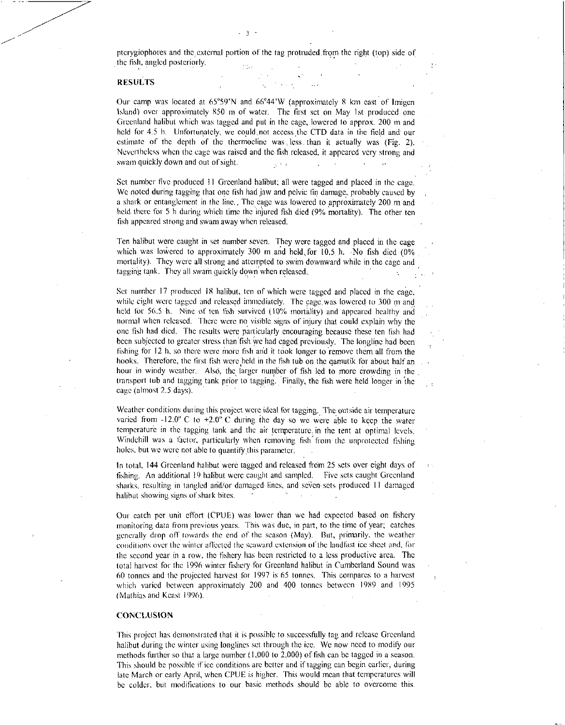pterygiophores and the external portion of the tag protruded from the right (top) side of the fish, angled posteriorly.

- 3

## RESULTS

Our camp was located at 65°59'N and 66°44'W (approximately 8 km cast of lmigen Island) over approximately 850 in of water. The first set on May 1st produced one Greenland halibut which was tagged and put in the cage, lowered to approx. 200 in and held for 4.5 h. Unfortunately, we could, not access the CTD data in the field and our estimate of the depth of the thermoclinc was., less than it actually was (Fig. 2). Nevertheless when the cage was raised and the fish released, it appeared very strong and swain quickly down and out of sight.

Set number five produced II Greenland halibut; all were tagged and placed in the cage. We noted during tagging that one fish had jaw and pelvic fin damage, probably caused by a shark or entanglement in the line., The cage was lowered to approximately 200 m and held there for 5 h during which time the injured fish died (9% mortality). The other ten fish appeared strong and swam away when released.

Ten halibut were caught in set number seven. They were tagged and placed in the cage which was lowered to approximately 300 m and held for  $10.5$  h.  $\overline{N}$  ho fish died (0%) mortality). They were all strong and attempted to swim downward while in the cage and tagging tank. They all swam quickly down when released.

Set number 17 produced 18 halibut, ten of which were tagged and placed in the cage, while eight were tagged and released immediately. The cage was lowered to 300 m and held for 56.5 h. Nine of ten fish survived (10% mortality) and appeared healthy and normal when released. There were no visible signs of injury that could explain why the one fish had died. The results were particularly encouraging because these ten fish had been subjected to greater stress than fish we had caged previously. The longlipe had been fishing for 12 h, so there were more fish and it took longer to remove them all from the hooks. Therefore, the first fish were held in the fish tub on the qamutik for about half an hour in windy weather. Also, the larger number of fish led to more crowding in the transport tub and tagging tank prior to tagging. Finally, the fish were held longer in the cage (almost 2.5 days).

Weather conditions during this project were ideal for tagging. The outside air temperature varied from  $-12.0^{\circ}$  C to  $+2.0^{\circ}$  C during the day so we were able to keep the water temperature in the tagging tank and the air temperature.; in the tent at optimal levels. Windchill was a factor, particularly when removing fish from the unprotected fishing holes, but we were not able to quantify this parameter.

In total, 144 Greenland halibut were tagged and released from 25 sets over eight days of ( fishing. An additional 19 halibut were caught and sampled. Five sets caught Greenland sharks, resulting in tangled and/or damaged-lines, and seven sets produced 11 damaged halibut showing signs of shark bites.

Our catch per unit effort (CPUE) was lower than we had expected based on fishery monitoring data from previous years. This was due, in part, to the time of year; catches generally drop off towards the end of the season (May). Rut, primarily, the weather conditions over the winter affected the seaward extension of the landlast ice sheet and, for the second year in a row, the fishery has been restricted to a less productive area. The total harvest for the 1996 winter fishery for Greenland halibut in Cumberland Sound was 60 tonnes and the projected harvest for 1997 is 65 tonnes. This compares to a harvest which varied between approximately 200 and 400 tonnes between 1989 and 1995 ( Mathias and Keasl 1996).

### **CONCLUSION**

This project has demonstrated that it is possible to successfully tag and release Greenland halibut during the winter using longlincs set through the ice. We now need to modify our methods further so that a large number (1,000 to 2,000) of fish can be tagged in a season. This should be possible if ice conditions are better and if tagging can begin earlier, during late March or early April, when CPUE is higher. This would mean that temperatures will be colder, but modifications to our basic methods should be able to overcome this.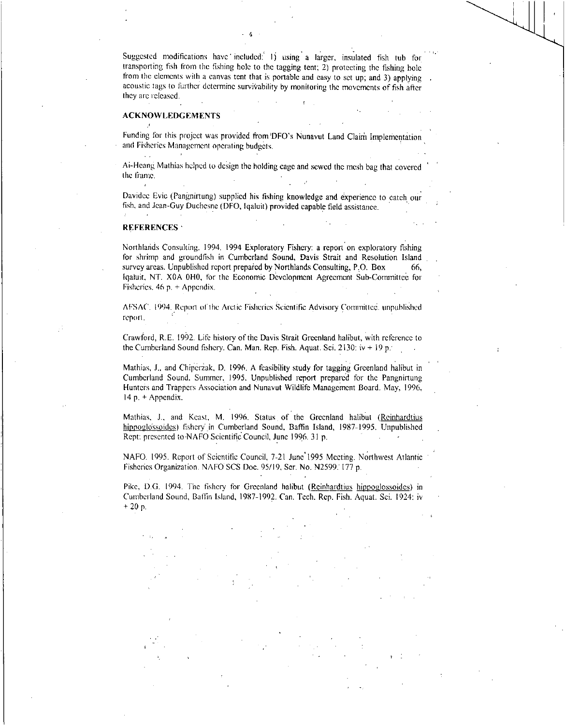Suggested modifications have included: 1) using a larger, insulated fish tub for transporting fish from the fishing hole to the tagging tent; 2) protecting the fishing hole from the elements with a canvas tent that is portable and easy to set up; and 3) applying acoustic tags to further determine survivability by monitoring the movements of fish after they are released.

4

## ACKNOWLEDGEMENTS

Funding for this project was provided from DFO's Nunavut Land Claim Implementation and Fisheries Management operating budgets.

Ai-Heang Mathias helped to design the holding cage and sewed the mesh bag that covered the frame.

Davidec Evic (Pangnirtung) supplied his fishing knowledge and experience to catch our fish, and Jean-Guy Duchcsne (DFO, lqaluit) provided capable field assistance.

#### REFERENCES

Northlands Consulting. 1994. 1994 Exploratory Fishery: a report on exploratory fishing for shrimp and groundfish in Cumberland Sound, Davis Strait and Resolution Island survey areas. Unpublished report prepared by Northlands Consulting, P.O. Box 66, lqaluit. NT. X0A OHO, for the Economic Development Agreement Sub-Committee for Fisheries. 46 p. + Appendix.

AFSAC. 1994. Report of the Arctic Fisheries Scientific Advisory Committee. unpublished report.

Crawford, R.E. 1992. Life history of the Davis Strait Greenland halibut, with reference to the Cumberland Sound fishery. Can. Man. Rep. Fish. Aquat. Sci. 2130:  $iv + 19 p$ .

Mathias, J., and Chiperzak, D. 1996. A feasibility study for tagging Greenland halibut in Cumberland Sound, Summer, 1995. Unpublished report prepared for the Pangnirtung Hunters and Trappers Association and Nunavut Wildlife Management Board. May, 1996, 14 p. + Appendix.

Mathias, J., and Keast, M. 1996. Status of the Greenland halibut (Reinhardtius hippoglossoides) fishery' in Cumberland Sound, Baffin Island, 1987-1995. Unpublished Rept: presented to NAFO Scientific Council, June 1996. 31 p.

NAFO. 1995. Report of Scientific Council, 7-21 June' 1995 Meeting. Northwest Atlantic Fisheries Organization. NAFO SCS Doc. 95/19, Ser. No. N2599: 177 p.

Pike, D.G. 1994. The fishery for Greenland halibut (Reinhardtius hippoglossoides) in Cumberland Sound, Baffin Island, 1987-1992. Can. Tech. Rep. Fish. Aquat. Sci. 1924: iv + 20 p.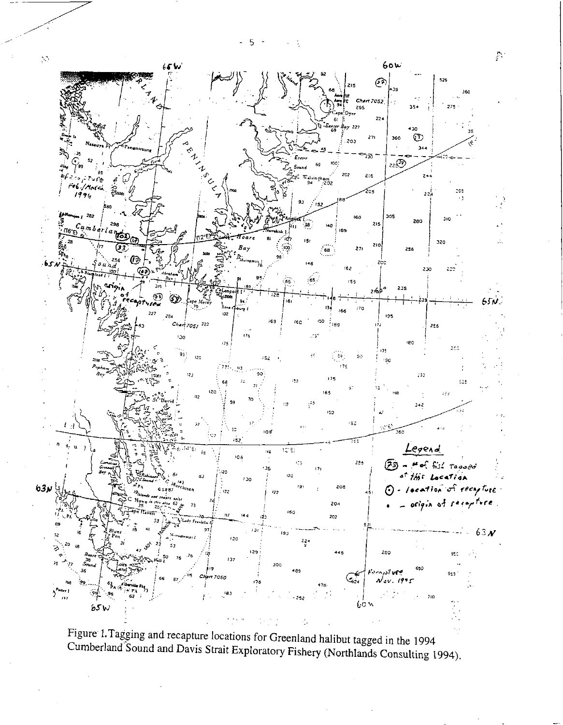5  $\overline{a}$ Ì,



Figure 1. Tagging and recapture locations for Greenland halibut tagged in the 1994 Cumberland Sound and Davis Strait Exploratory Fishery (Northlands Consulting 1994).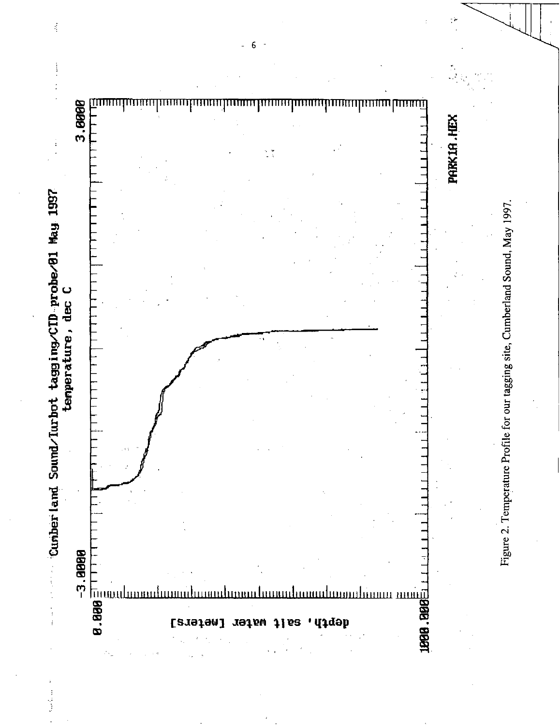

 $\frac{1}{\sqrt{2}}$